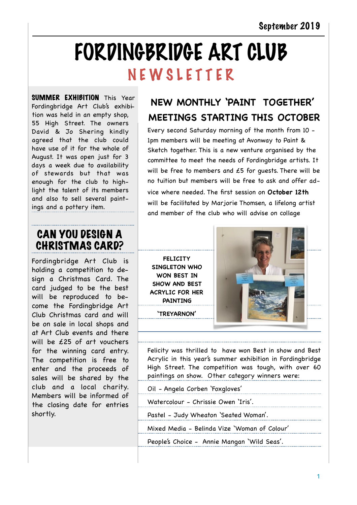# FORDINGBRIDGE ART CLUB N E W S L E T T E R

SUMMER EXHIBITION This Year Fordingbridge Art Club's exhibition was held in an empty shop, 55 High Street. The owners David & Jo Shering kindly agreed that the club could have use of it for the whole of August. It was open just for 3 days a week due to availability of stewards but that was enough for the club to highlight the talent of its members and also to sell several paintings and a pottery item.

# CAN YOU DESIGN A CHRISTMAS CARD?

Fordingbridge Art Club is holding a competition to design a Christmas Card. The card judged to be the best will be reproduced to become the Fordingbridge Art Club Christmas card and will be on sale in local shops and at Art Club events and there will be £25 of art vouchers for the winning card entry. The competition is free to enter and the proceeds of sales will be shared by the club and a local charity. Members will be informed of the closing date for entries shortly.

# **NEW MONTHLY 'PAINT TOGETHER' MEETINGS STARTING THIS OCTOBER**

Every second Saturday morning of the month from 10 - 1pm members will be meeting at Avonway to Paint & Sketch together. This is a new venture organised by the committee to meet the needs of Fordingbridge artists. It will be free to members and  $£5$  for quests. There will be no tuition but members will be free to ask and offer advice where needed. The first session on **October 12th**  will be facilitated by Marjorie Thomsen, a lifelong artist and member of the club who will advise on collage

**FELICITY SINGLETON WHO WON BEST IN SHOW AND BEST ACRYLIC FOR HER PAINTING** 

**'TREYARNON'** 



Felicity was thrilled to have won Best in show and Best Acrylic in this year's summer exhibition in Fordingbridge High Street. The competition was tough, with over 60 paintings on show. Other category winners were:

Oil - Angela Corben 'Foxgloves'

Watercolour - Chrissie Owen 'Iris'.

Pastel - Judy Wheaton 'Seated Woman'.

Mixed Media - Belinda Vize 'Woman of Colour'

People's Choice - Annie Mangan 'Wild Seas'.